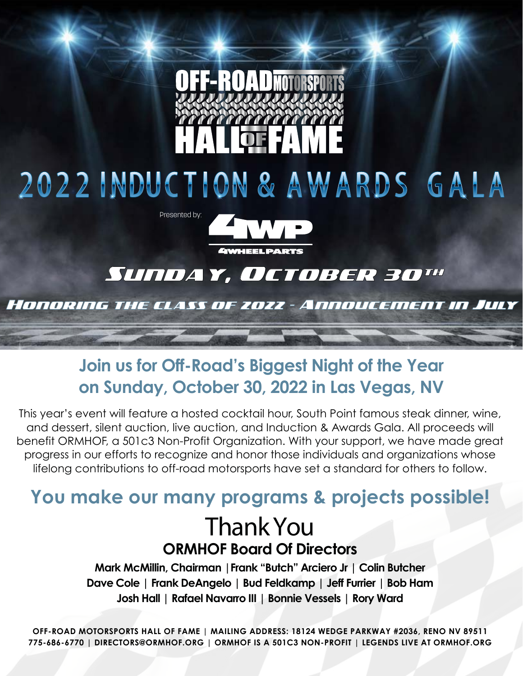

# 2022 INDUCTION & AWARDS GALA



# Sunday, October 30"

### Honoring the class of 2022 - Annoucement in July

# **Join us for Off-Road's Biggest Night of the Year on Sunday, October 30, 2022 in Las Vegas, NV**

This year's event will feature a hosted cocktail hour, South Point famous steak dinner, wine, and dessert, silent auction, live auction, and Induction & Awards Gala. All proceeds will benefit ORMHOF, a 501c3 Non-Profit Organization. With your support, we have made great progress in our efforts to recognize and honor those individuals and organizations whose lifelong contributions to off-road motorsports have set a standard for others to follow.

# **You make our many programs & projects possible!** Thank You **ORMHOF Board Of Directors**

**Mark McMillin, Chairman |Frank "Butch" Arciero Jr | Colin Butcher Dave Cole | Frank DeAngelo | Bud Feldkamp | Jeff Furrier | Bob Ham Josh Hall | Rafael Navarro III | Bonnie Vessels | Rory Ward**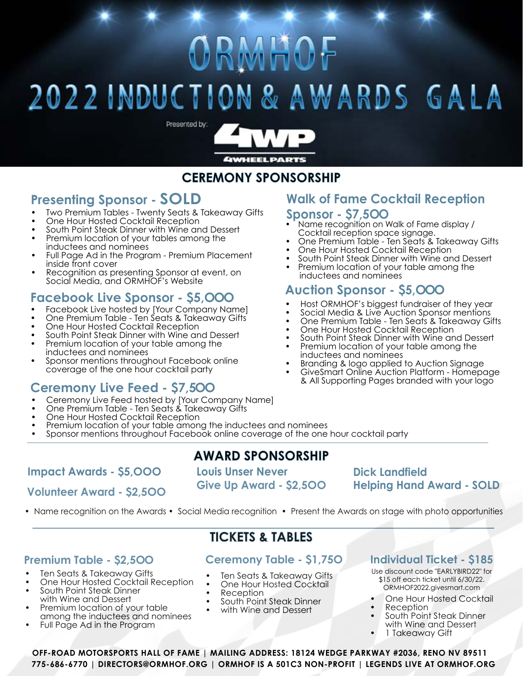# ORMHOF

# 2022 INDUCTION & AWARDS GALA



## **CEREMONY SPONSORSHIP**

## **Presenting Sponsor - SOLD**

- Two Premium Tables Twenty Seats & Takeaway Gifts
- One Hour Hosted Cocktail Reception
- South Point Steak Dinner with Wine and Dessert
- Premium location of your tables among the inductees and nominees
- Full Page Ad in the Program Premium Placement inside front cover
- Recognition as presenting Sponsor at event, on Social Media, and ORMHOF's Website

### **Facebook Live Sponsor - \$5,OOO**

- Facebook Live hosted by [Your Company Name]
- One Premium Table Ten Seats & Takeaway Gifts
- One Hour Hosted Cocktail Reception
- South Point Steak Dinner with Wine and Dessert
- Premium location of your table among the inductees and nominees
- Sponsor mentions throughout Facebook online coverage of the one hour cocktail party

### **Ceremony Live Feed - \$7,5OO**

- Ceremony Live Feed hosted by [Your Company Name]
- One Premium Table Ten Seats & Takeaway Gifts
- One Hour Hosted Cocktail Reception
- Premium location of your table among the inductees and nominees
- Sponsor mentions throughout Facebook online coverage of the one hour cocktail party

### **Impact Awards - \$5,OOO Louis Unser Never**

### **Volunteer Award - \$2,5OO**

# **AWARD SPONSORSHIP**

**Give Up Award - \$2,5OO**

### **Dick Landfield Helping Hand Award - SOLD**

• Name recognition on the Awards • Social Media recognition • Present the Awards on stage with photo opportunities

### **Premium Table - \$2,5OO**

- Ten Seats & Takeaway Gifts
- One Hour Hosted Cocktail Reception
- South Point Steak Dinner with Wine and Dessert
- Premium location of your table among the inductees and nominees
- Full Page Ad in the Program

### **TICKETS & TABLES**

### **Ceremony Table - \$1,75O**

- Ten Seats & Takeaway Gifts
- One Hour Hosted Cocktail
- Reception
- South Point Steak Dinner

#### • with Wine and Dessert

### **Individual Ticket - \$185**

- Use discount code "EARLYBIRD22" for \$15 off each ticket until 6/30/22. ORMHOF2022.givesmart.com
- One Hour Hosted Cocktail
- Reception
- South Point Steak Dinner with Wine and Dessert
- 1 Takeaway Gift

**OFF-ROAD MOTORSPORTS HALL OF FAME | MAILING ADDRESS: 18124 WEDGE PARKWAY #2036, RENO NV 89511 775-686-6770 | DIRECTORS@ORMHOF.ORG | ORMHOF IS A 501C3 NON-PROFIT | LEGENDS LIVE AT ORMHOF.ORG**

## **Walk of Fame Cocktail Reception**

#### **Sponsor - \$7,5OO**

- Name recognition on Walk of Fame display / Cocktail reception space signage.
- One Premium Table Ten Seats & Takeaway Gifts
- One Hour Hosted Cocktail Reception
- South Point Steak Dinner with Wine and Dessert
- Premium location of your table among the inductees and nominees

### **Auction Sponsor - \$5,OOO**

- 
- 
- 
- 
- Host ORMHOF's biggest fundraiser of they year<br>Social Media & Live Auction Sponsor mentions<br>One Premium Table Ten Seats & Takeaway Gifts<br>One Hour Hosted Cocktail Reception<br>South Point Steak Dinner with Wine and Dessert<br>Pr
- inductees and nominees Branding & logo applied to Auction Signage GiveSmart Online Auction Platform Homepage

& All Supporting Pages branded with your logo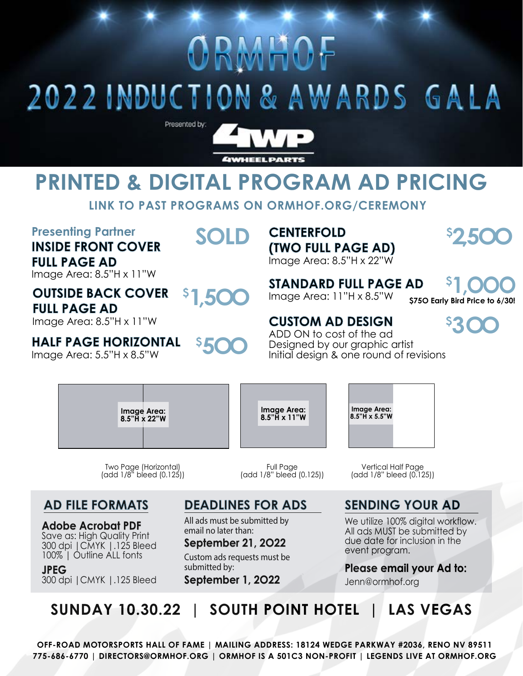# RMHOF

# 2022 INDUCTION & AWARDS GALA



# **PRINTED & DIGITAL PROGRAM AD PRICING**

**LINK TO PAST PROGRAMS ON ORMHOF.ORG/CEREMONY**

### **Presenting Partner INSIDE FRONT COVER FULL PAGE AD**

Image Area: 8.5"H x 11"W

#### **OUTSIDE BACK COVER FULL PAGE AD \$ 1,5OO**

Image Area: 8.5"H x 11"W

## **HALF PAGE HORIZONTAL**

Image Area: 5.5"H x 8.5"W

# **SOLD**

**5OO**

**CENTERFOLD (TWO FULL PAGE AD)** Image Area: 8.5"H x 22"W

**STANDARD FULL PAGE AD** Image Area: 11"H x 8.5"W

**\$75O Early Bird Price to 6/30! \$ 1,OOO**

**2,5OO**

 **\$**

**CUSTOM AD DESIGN** ADD ON to cost of the ad Designed by our graphic artist Initial design & one round of revisions

> **Image Area: 8.5"H x 5.5"W**

**\$ 3OO**

| Image Area:<br>8.5"H x 22"W | Image Area:<br>8.5"H x 11"W |
|-----------------------------|-----------------------------|
|                             |                             |

**\$**

Two Page (Horizontal) (add 1/8" bleed (0.125))

### **AD FILE FORMATS**

**Adobe Acrobat PDF** Save as: High Quality Print 300 dpi |CMYK |.125 Bleed 100% | Outline ALL fonts

300 dpi |CMYK |.125 Bleed **JPEG**

## **DEADLINES FOR ADS**

Full Page (add 1/8" bleed (0.125))

All ads must be submitted by email no later than:

**September 21, 2O22** Custom ads requests must be submitted by:

**September 1, 2O22**

Vertical Half Page (add 1/8" bleed (0.125))

## **SENDING YOUR AD**

We utilize 100% digital workflow. All ads MUST be submitted by due date for inclusion in the event program.

### **Please email your Ad to:**

Jenn@ormhof.org

**SUNDAY 10.30.22 | SOUTH POINT HOTEL | LAS VEGAS**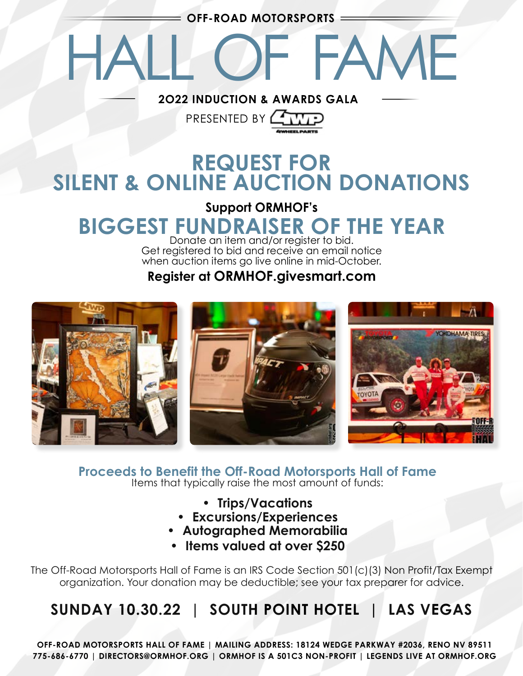**OFF-ROAD MOTORSPORTS**

HALL OF FAME

**2O22 INDUCTION & AWARDS GALA**

# **REQUEST FOR SILENT & ONLINE AUCTION DONATIONS**

PRESENTED BY **P** 

# **Support ORMHOF's BIGGEST FUNDRAISER OF THE YEAR**

Donate an item and/or register to bid. Get registered to bid and receive an email notice when auction items go live online in mid-October.

### **Register at ORMHOF.givesmart.com**



**Proceeds to Benefit the Off-Road Motorsports Hall of Fame** Items that typically raise the most amount of funds:

- **• Trips/Vacations**
- **• Excursions/Experiences**
- **• Autographed Memorabilia**
- **• Items valued at over \$250**

The Off-Road Motorsports Hall of Fame is an IRS Code Section 501(c)(3) Non Profit/Tax Exempt organization. Your donation may be deductible; see your tax preparer for advice.

# **SUNDAY 10.30.22 | SOUTH POINT HOTEL | LAS VEGAS**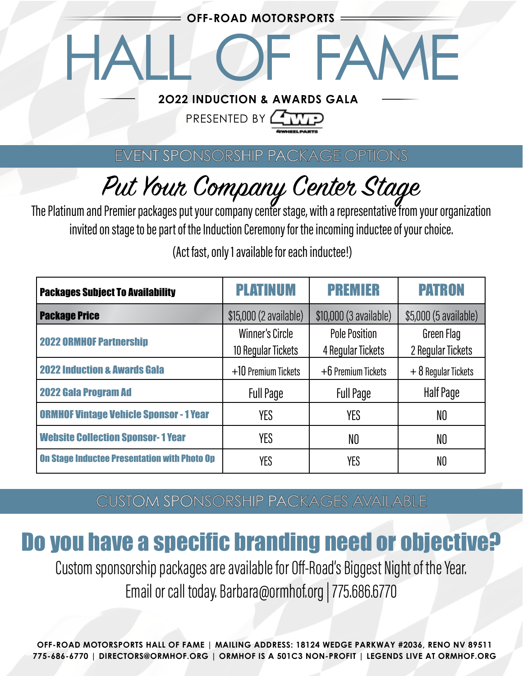**OFF-ROAD MOTORSPORTS**

HALL OF FAME

### **2O22 INDUCTION & AWARDS GALA**

# PRESENTED BY **LAT**

EVENT SPONSORSHIP PACKAGE OPTIONS

# Put Your Company Center Stage<br>The Platinum and Premier packages put your company center stage, with a representative from your organization

invited on stage to be part of the Induction Ceremony for the incoming inductee of your choice.

| <b>Packages Subject To Availability</b>             | <b>PLATINUM</b>                       | <b>PREMIER</b>                            | <b>PATRON</b>                   |
|-----------------------------------------------------|---------------------------------------|-------------------------------------------|---------------------------------|
| <b>Package Price</b>                                | \$15,000 (2 available)                | \$10,000 (3 available)                    | \$5,000 (5 available)           |
| <b>2022 ORMHOF Partnership</b>                      | Winner's Circle<br>10 Regular Tickets | <b>Pole Position</b><br>4 Regular Tickets | Green Flag<br>2 Regular Tickets |
| <b>2022 Induction &amp; Awards Gala</b>             | $+10$ Premium Tickets                 | $+6$ Premium Tickets                      | $+8$ Regular Tickets            |
| <b>2022 Gala Program Ad</b>                         | <b>Full Page</b>                      | <b>Full Page</b>                          | Half Page                       |
| <b>ORMHOF Vintage Vehicle Sponsor - 1 Year</b>      | <b>YES</b>                            | YES                                       | NO                              |
| <b>Website Collection Sponsor-1 Year</b>            | <b>YES</b>                            | NO                                        | NO                              |
| <b>On Stage Inductee Presentation with Photo Op</b> | YES                                   | YES                                       | NO                              |

(Act fast, only 1 available for each inductee!)

CUSTOM SPONSORSHIP PACKAGES AVAILABLE

# Do you have a specific branding need or objective?

Custom sponsorship packages are available for Off-Road's Biggest Night of the Year. Email or call today. Barbara@ormhof.org | 775.686.6770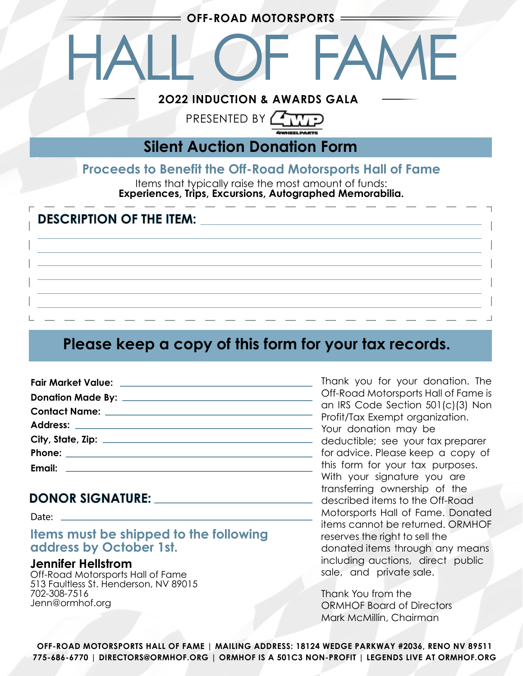**OFF-ROAD MOTORSPORTS**

HALL OF FAME

### **2O22 INDUCTION & AWARDS GALA**

# PRESENTED BY **FR**

**Silent Auction Donation Form**

### **Proceeds to Benefit the Off-Road Motorsports Hall of Fame**

Items that typically raise the most amount of funds: **Experiences, Trips, Excursions, Autographed Memorabilia.**

### **DESCRIPTION OF THE ITEM:**

## **Please keep a copy of this form for your tax records.**

### **DONOR SIGNATURE:**

Date: \_

#### **Items must be shipped to the following address by October 1st.**

#### **Jennifer Hellstrom**

Off-Road Motorsports Hall of Fame 513 Faultless St. Henderson, NV 89015 702-308-7516 Jenn@ormhof.org

Thank you for your donation. The Off-Road Motorsports Hall of Fame is an IRS Code Section 501(c)(3) Non Profit/Tax Exempt organization. Your donation may be deductible; see your tax preparer for advice. Please keep a copy of this form for your tax purposes. With your signature you are transferring ownership of the described items to the Off-Road Motorsports Hall of Fame. Donated items cannot be returned. ORMHOF reserves the right to sell the donated items through any means including auctions, direct public sale, and private sale.

Thank You from the ORMHOF Board of Directors Mark McMillin, Chairman